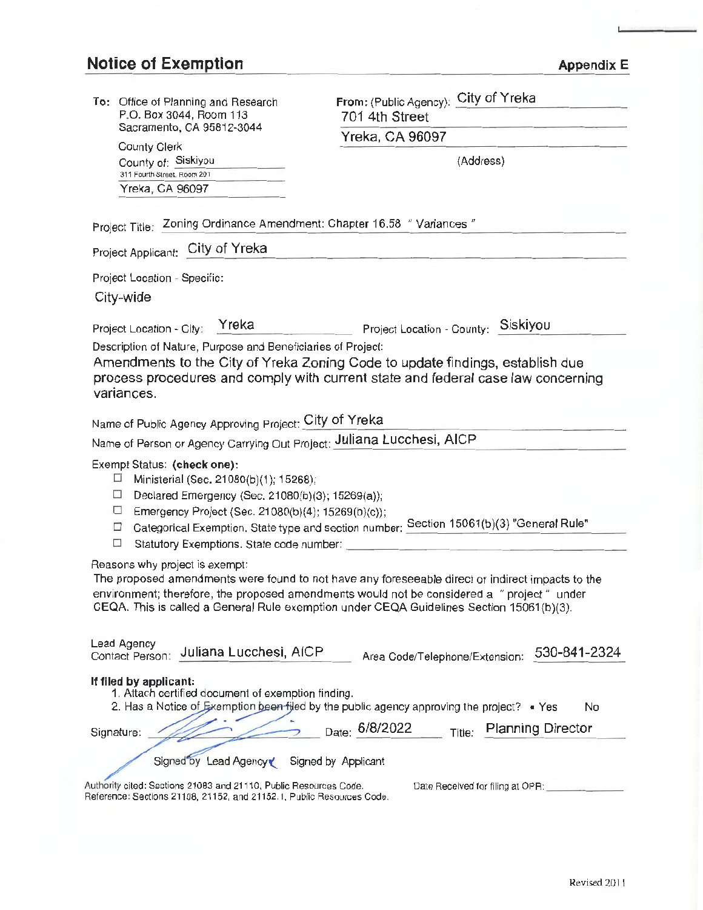# **Notice of Exemption**

| <b>Appendix E</b> |  |
|-------------------|--|
|-------------------|--|

| To: Office of Planning and Research                                                                | From: (Public Agency): City of Yreka                                                                                                                                                  |  |
|----------------------------------------------------------------------------------------------------|---------------------------------------------------------------------------------------------------------------------------------------------------------------------------------------|--|
| P.O. Box 3044, Room 113<br>Sacramento, CA 95812-3044<br><b>County Clerk</b><br>County of: Siskiyou | 701 4th Street                                                                                                                                                                        |  |
|                                                                                                    | Yreka, CA 96097                                                                                                                                                                       |  |
|                                                                                                    | (Address)                                                                                                                                                                             |  |
| 311 Fourth Street. Room 201                                                                        |                                                                                                                                                                                       |  |
| Yreka, CA 96097                                                                                    |                                                                                                                                                                                       |  |
| Project Title: Zoning Ordinance Amendment: Chapter 16.58 " Variances "                             |                                                                                                                                                                                       |  |
| City of Yreka<br>Project Applicant:                                                                |                                                                                                                                                                                       |  |
| Project Location - Specific:                                                                       |                                                                                                                                                                                       |  |
| City-wide                                                                                          |                                                                                                                                                                                       |  |
| Yreka                                                                                              | Siskiyou                                                                                                                                                                              |  |
| Project Location - City;<br>Description of Nature, Purpose and Beneficiaries of Project:           | Project Location - County:                                                                                                                                                            |  |
|                                                                                                    | Amendments to the City of Yreka Zoning Code to update findings, establish due                                                                                                         |  |
|                                                                                                    | process procedures and comply with current state and federal case law concerning                                                                                                      |  |
| variances.                                                                                         |                                                                                                                                                                                       |  |
| Name of Public Agency Approving Project: City of Yreka                                             |                                                                                                                                                                                       |  |
| Name of Person or Agency Carrying Out Project: Juliana Lucchesi, AICP                              |                                                                                                                                                                                       |  |
| Exempt Status: (check one):                                                                        |                                                                                                                                                                                       |  |
| Ministerial (Sec. 21080(b)(1); 15268);<br>ப                                                        |                                                                                                                                                                                       |  |
| ⊔<br>Declared Emergency (Sec. 21080(b)(3); 15269(a));<br>□                                         |                                                                                                                                                                                       |  |
| Emergency Project (Sec. 21080(b)(4); 15269(b)(c));<br>□                                            | Categorical Exemption. State type and section number: Section 15061(b)(3) "General Rule"                                                                                              |  |
| П<br>Statutory Exemptions. State code number:                                                      |                                                                                                                                                                                       |  |
| Reasons why project is exempt:                                                                     |                                                                                                                                                                                       |  |
|                                                                                                    | The proposed amendments were found to not have any foreseeable direct or indirect impacts to the                                                                                      |  |
|                                                                                                    | environment; therefore, the proposed amendments would not be considered a "project" under<br>CEQA. This is called a General Rule exemption under CEQA Guidelines Section 15061(b)(3). |  |
|                                                                                                    |                                                                                                                                                                                       |  |
| Lead Agency                                                                                        |                                                                                                                                                                                       |  |
| Juliana Lucchesi, AICP<br>Contact Person:                                                          | 530-841-2324<br>Area Code/Telephone/Extension:                                                                                                                                        |  |
| If filed by applicant:                                                                             |                                                                                                                                                                                       |  |
| 1. Attach certified document of exemption finding.                                                 | 2. Has a Notice of Exemption been filed by the public agency approving the project? • Yes<br>No                                                                                       |  |
|                                                                                                    |                                                                                                                                                                                       |  |
| Signature:                                                                                         | Date: 6/8/2022<br><b>Planning Director</b><br>Title:                                                                                                                                  |  |
| Signed by Lead Agency                                                                              | Signed by Applicant                                                                                                                                                                   |  |
| Authority cited: Sections 21083 and 21110, Public Resources Code.                                  | Date Received for filing at OPR:                                                                                                                                                      |  |
| Reference: Sections 21108, 21152, and 21152.1, Public Resources Code.                              |                                                                                                                                                                                       |  |

Revised 201 I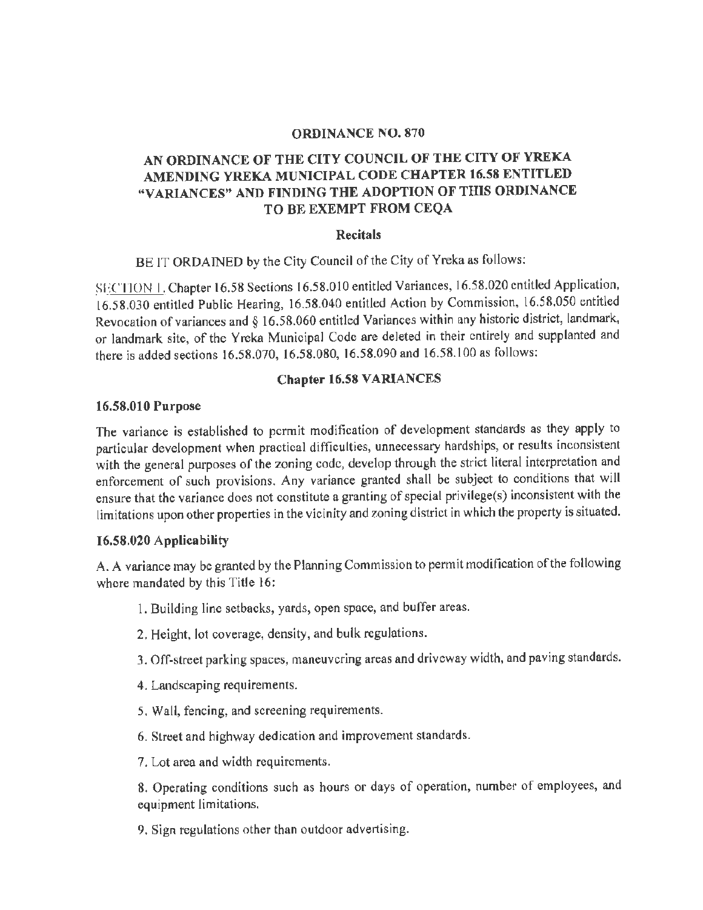#### **ORDINANCE NO. 870**

# **AN ORDINANCE OF THE CITY COUNCIL OF THE CITY OF YREKA AMENDING YREKA MUNICIPAL CODE CHAPTER 16.58 ENTITLED "VARIANCES" AND FINDING THE ADOPTION OF THIS ORDINANCE TO BE EXEMPT FROM CEQA**

#### **Recitals**

BE IT ORDAINED by the City Council of the City of Yreka as follows:

SECTION 1. Chapter 16.58 Sections 16.58.010 entitled Variances, 16.58.020 entitled Application, 16.58.030 entitled Public Hearing, 16.58.040 entitled Action by Commission, 16.58.050 entitled Revocation of variances and§ 16.58.060 entitled Variances within any historic district, landmark, or landmark site, of the Yreka Municipal Code are deleted in their entirely and supplanted and there is added sections 16.58.070, 16.58.080, 16.58.090 and 16.58.100 as follows:

#### **Chapter 16.58 VARIANCES**

#### **16.58.010 Purpose**

The variance is established to permit modification of development standards as they apply to particular development when practical difficulties, unnecessary hardships, or results inconsistent with the general purposes of the zoning code, develop through the strict literal interpretation and enforcement of such provisions. Any variance granted shall be subject to conditions that will ensure that the variance does not constitute a granting of special privilege(s) inconsistent with the limitations upon other properties in the vicinity and zoning district in which the property is situated.

#### **16.58,020 Applicability**

A. A variance may be granted by the Planning Commission to permit modification of the following where mandated by this Title 16:

- 1. Building line setbacks, yards, open space, and buffer areas.
- 2. Height, lot coverage, density, and bulk regulations.
- 3. Off-street parking spaces, maneuvering areas and driveway width, and paving standards.
- 4. Landscaping requirements.
- 5. Wall, fencing, and screening requirements.
- 6. Street and highway dedication and improvement standards.
- 7. Lot area and width requirements.

8. Operating conditions such as hours or days of operation, number of employees, and equipment limitations,

9. Sign regulations other than outdoor advertising.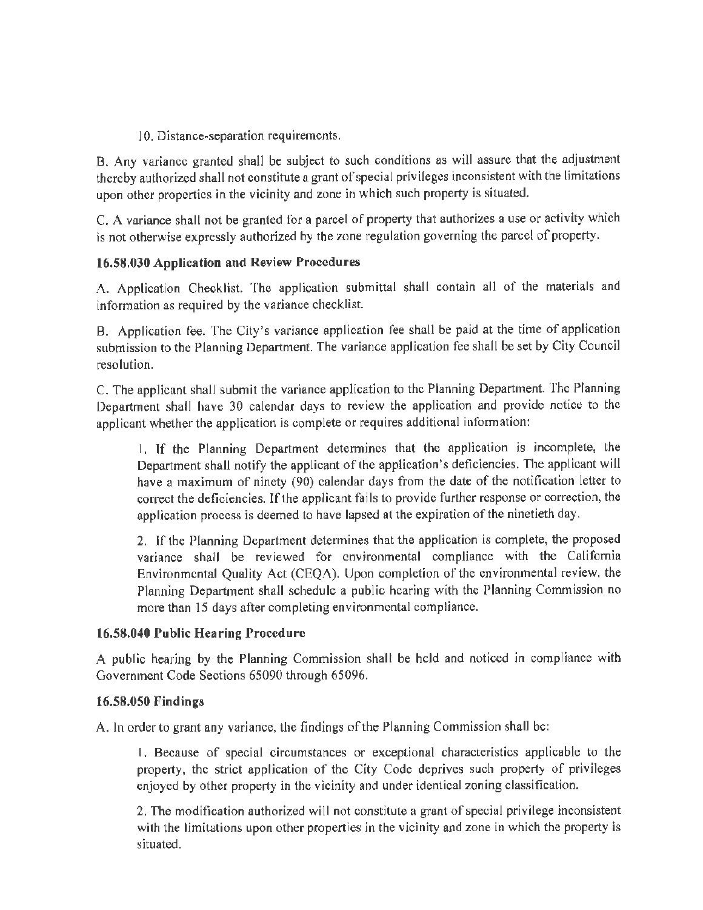10. Distance-separation requirements.

B. Any variance granted shall be subject to such conditions as will assure that the adjustment thereby authorized shall not constitute a grant of special privileges inconsistent with the limitations upon other properties in the vicinity and zone in which such property is situated.

C. A variance shall not be granted for a parcel of property that authorizes a use or activity which is not otherwise expressly authorized by the zone regulation governing the parcel of property.

# **16.58.030 Application and Review Procedures**

A. Application Checklist. The application submittal shall contain all of the materials and information as required by the variance checklist.

B. Application fee. The City's variance application fee shall be paid at the time of application submission to the Planning Department. The variance application fee shall be set by City Council resolution.

C. The applicant shall submit the variance application to the Planning Department. The Planning Department shall have 30 calendar days to review the application and provide notice to the applicant whether the application is complete or requires additional information:

I. If the Planning Department determines that the application is incomplete, the Department shall notify the applicant of the application's deficiencies. The applicant will have a maximum of ninety (90) calendar days from the date of the notification letter to correct the deficiencies. If the applicant fails to provide further response or correction, the application process is deemed to have lapsed at the expiration of the ninetieth day.

2. If the Planning Department determines that the application is complete, the proposed variance shall be reviewed for environmental compliance with the California Environmental Quality Act (CEQA). Upon completion of the environmental review, the Planning Department shall schedule a public hearing with the Planning Commission no more than 15 days after completing environmental compliance.

#### **16.58.040 Public Hearing Procedure**

A public hearing by the Planning Commission shall be held and noticed in compliance with Government Code Sections 65090 through 65096.

#### **16.58.050 Findings**

A. In order to grant any variance, the findings of the Planning Commission shall be:

I, Because of special circumstances or exceptional characteristics applicable to the property, the strict application of the City Code deprives such property of privileges enjoyed by other property in the vicinity and under identical zoning classification.

2, The modification authorized will not constitute a grant of special privilege inconsistent with the limitations upon other properties in the vicinity and zone in which the property is situated.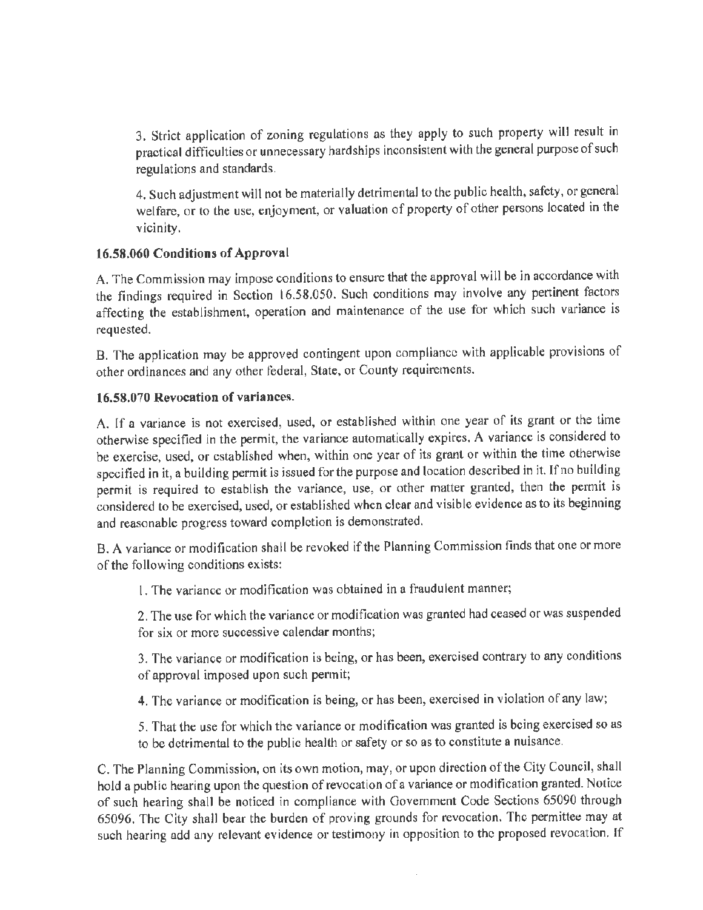3. Strict application of zoning regulations as they apply to such property will result in practical difficulties or unnecessary hardships inconsistent with the general purpose of such regulations and standards.

4. Such adjustment will not be materially detrimental to the public health, safety, or general welfare, or to the use, enjoyment, or valuation of property of other persons located in the vicinity.

# **16.58.060 Conditions of Approval**

A. The Commission may impose conditions to ensure that the approval will be in accordance with the findings required in Section l 6.58.050. Such conditions may involve any pertinent factors affecting the establishment, operation and maintenance of the use for which such variance is requested.

B. The application may be approved contingent upon compliance with applicable provisions of other ordinances and any other federal, State, or County requirements.

# **16.58.070 Revocation of variances.**

A. If a variance is not exercised, used, or established within one year of its grant or the time otherwise specified in the permit, the variance automatically expires. A variance is considered to be exercise, used, or established when, within one year of its grant or within the time otherwise specified in it, a building permit is issued for the purpose and location described in it. If no building permit is required to establish the variance, use, or other matter granted, then the permit is considered to be exercised, used, or established when clear and visible evidence as to its beginning and reasonable progress toward completion is demonstrated.

B. A variance or modification shall be revoked if the Planning Commission finds that one or more of the following conditions exists:

I. The variance or modification was obtained in a fraudulent manner;

2. The use for which the variance or modification was granted had ceased or was suspended for six or more successive calendar months;

3. The variance or modification is being, or has been, exercised contrary to any conditions of approval imposed upon such permit;

4. The variance or modification is being, or has been, exercised in violation of any law;

5. That the use for which the variance or modification was granted is being exercised so as to be detrimental to the public health or safety or so as to constitute a nuisance.

C. The Planning Commission, on its own motion, may, or upon direction of the City Council, shall hold a public hearing upon the question of revocation of a variance or modification granted. Notice of such hearing shall be noticed in compliance with Government Code Sections 65090 through 65096. The City shall bear the burden of proving grounds for revocation. The permittee may at such hearing add any relevant evidence or testimony in opposition to the proposed revocation. If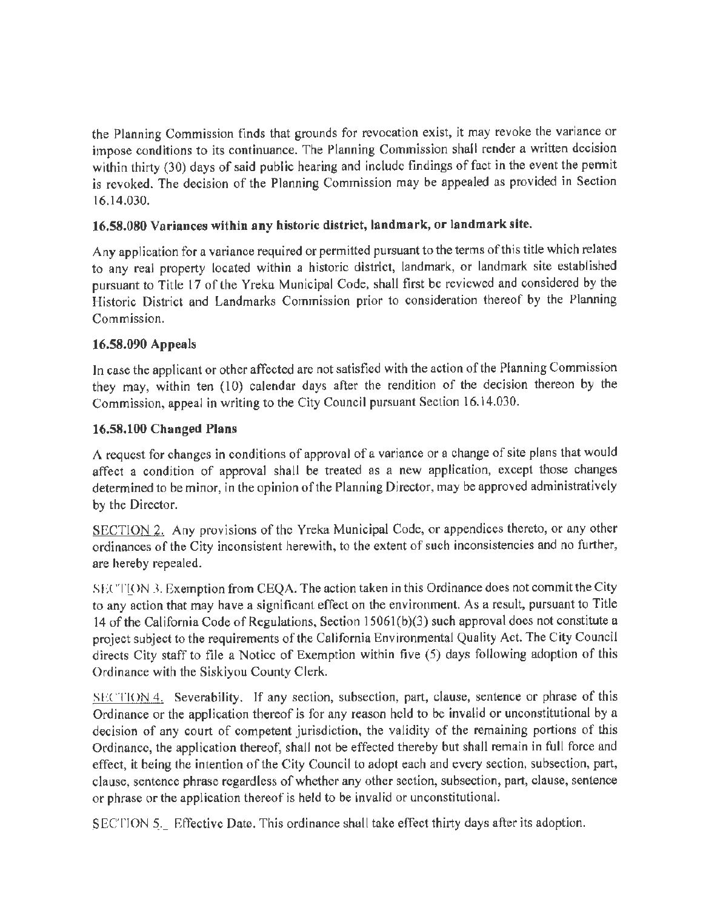the Planning Commission finds that grounds for revocation exist, it may revoke the variance or impose conditions to its continuance. The Planning Commission shall render a written decision within thirty (30) days of said public hearing and include findings of fact in the event the permit is revoked. The decision of the Planning Commission may be appealed as provided in Section 16.14.030.

# **16.58.080 Variances within any historic district, landmark, or landmark site.**

Any application for a variance required or permitted pursuant to the terms of this title which relates to any real property located within a historic district, landmark, or landmark site established pursuant to Title 17 of lhe Yreka Municipal Code, shall first be reviewed and considered by the Historic District and Landmarks Commission prior to consideration thereof by the Planning Commission.

# **16.58.090 Appeals**

In case the applicant or other affected are not satisfied with the action of the Planning Commission they may, within ten (10) calendar days after the rendition of the decision thereon by the Commission, appeal in writing to the City Council pursuant Seclion 16.14.030.

# **16.58,100 Changed Plans**

A request for changes in conditions of approval of a variance or a change of site plans that would affect a condition of approval shall be treated as a new application, except those changes determined to be minor, in the opinion of the Planning Director, may be approved administratively by the Director.

SECTION 2. Any provisions of the Yreka Municipal Code, or appendices thereto, or any other ordinances of the City inconsistent herewith, to the extent of such inconsistencies and no further, are hereby repealed.

SECTION 3. Exemption from CEQA. The action taken in this Ordinance does not commit the City to any action that may have a significant effect on the environment. As a result, pursuant to Title 14 of the California Code of Regulations, Section 15061(b)(3) such approval does not constitute a project subject to the requirements of the California Environmental Quality Act. The City Council directs City staff to file a Notice of Exemption within five (5) days following adoption of this Ordinance with the Siskiyou County Clerk.

SECTION 4. Severability. If any section, subsection, part, clause, sentence or phrase of this Ordinance or the application thereof is for any reason held to be invalid or unconstitutional by a decision of any court of competent jurisdiction, the validity of the remaining portions of this Ordinance, the application thereof, shall not be effected thereby but shall remain in full force and effect, it being the intention of the City Council to adopt each and every section, subsection, part, clause, sentence phrase regardless of whether any other section, subsection, part, clause, sentence or phrase or the application thereof is held to be invalid or unconstitutional.

SECTION 5. Effective Date. This ordinance shall take effect thirty days after its adoption.